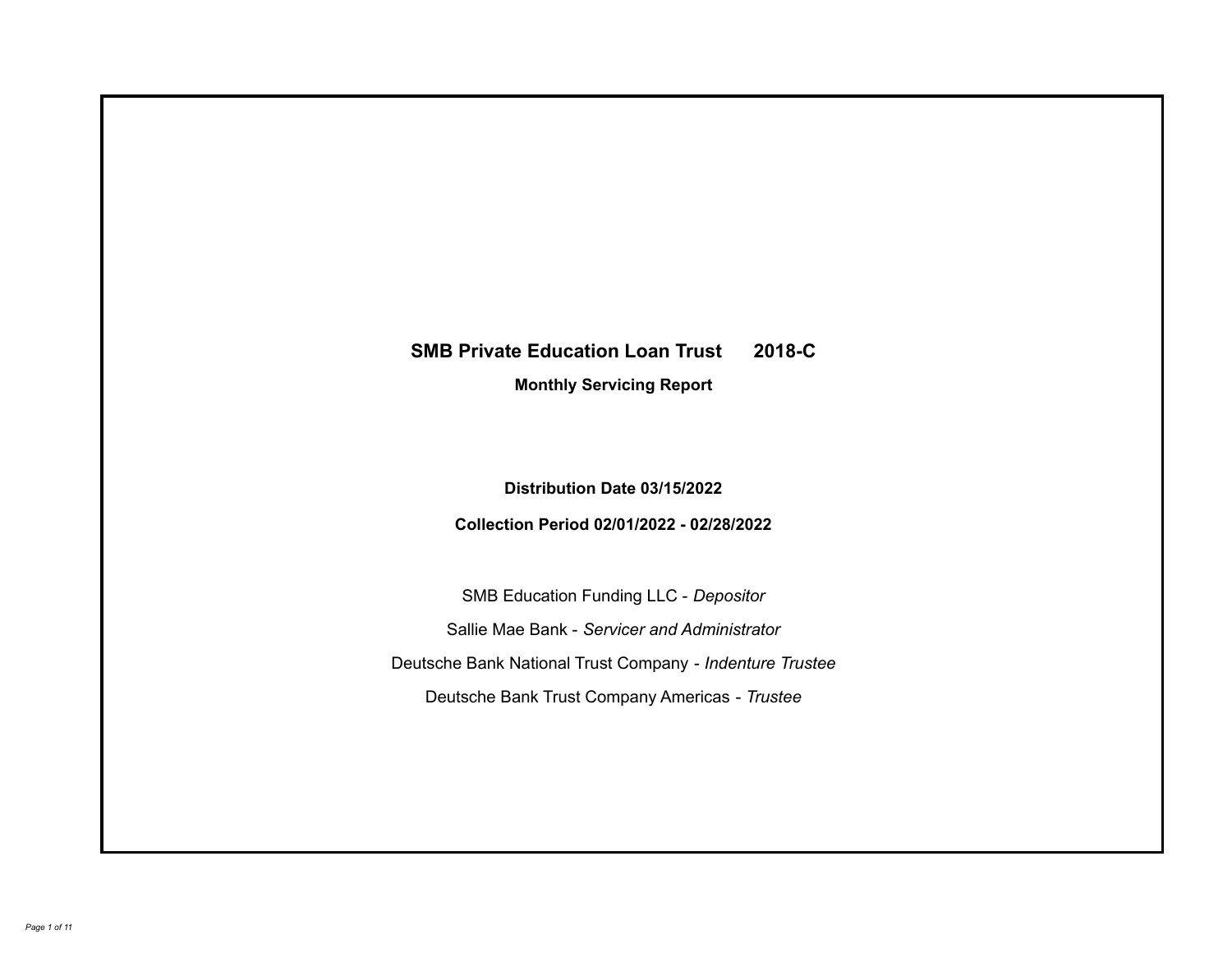# **SMB Private Education Loan Trust 2018-C**

**Monthly Servicing Report**

**Distribution Date 03/15/2022**

**Collection Period 02/01/2022 - 02/28/2022**

SMB Education Funding LLC - *Depositor* Sallie Mae Bank - *Servicer and Administrator* Deutsche Bank National Trust Company - *Indenture Trustee* Deutsche Bank Trust Company Americas - *Trustee*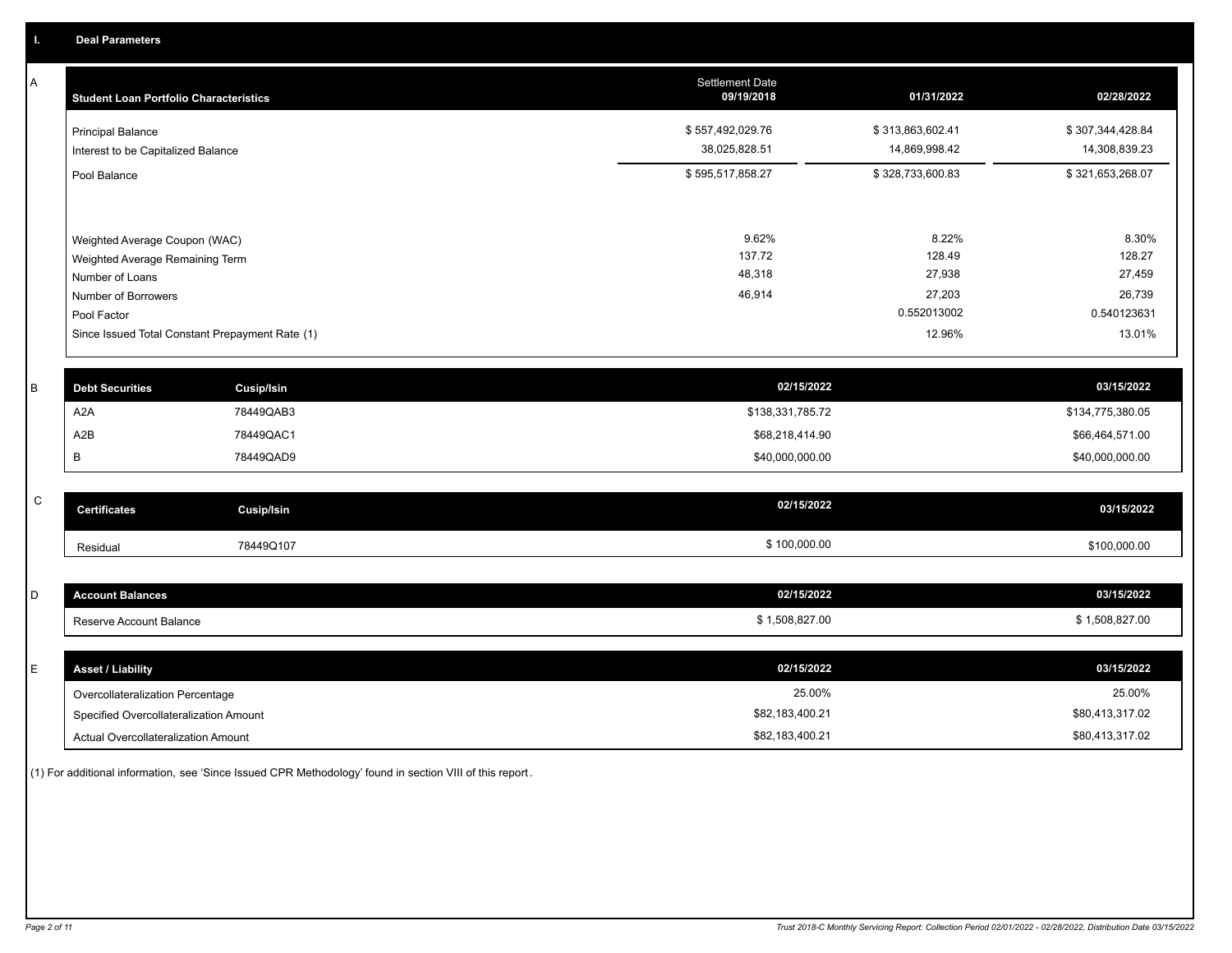A

| А           | <b>Student Loan Portfolio Characteristics</b>   | <b>Settlement Date</b><br>09/19/2018 | 01/31/2022       | 02/28/2022       |
|-------------|-------------------------------------------------|--------------------------------------|------------------|------------------|
|             | <b>Principal Balance</b>                        | \$557,492,029.76                     | \$313,863,602.41 | \$307,344,428.84 |
|             | Interest to be Capitalized Balance              | 38,025,828.51                        | 14,869,998.42    | 14,308,839.23    |
|             | Pool Balance                                    | \$595,517,858.27                     | \$328,733,600.83 | \$321,653,268.07 |
|             |                                                 |                                      |                  |                  |
|             | Weighted Average Coupon (WAC)                   | 9.62%                                | 8.22%            | 8.30%            |
|             | Weighted Average Remaining Term                 | 137.72                               | 128.49           | 128.27           |
|             | Number of Loans                                 | 48,318                               | 27,938           | 27,459           |
|             | Number of Borrowers                             | 46,914                               | 27,203           | 26,739           |
|             | Pool Factor                                     |                                      | 0.552013002      | 0.540123631      |
|             | Since Issued Total Constant Prepayment Rate (1) |                                      | 12.96%           | 13.01%           |
|             |                                                 | 02/15/2022                           |                  | 03/15/2022       |
| B           | <b>Debt Securities</b><br><b>Cusip/Isin</b>     |                                      |                  |                  |
|             | 78449QAB3<br>A <sub>2</sub> A                   | \$138,331,785.72                     |                  | \$134,775,380.05 |
|             | A <sub>2</sub> B<br>78449QAC1                   | \$68,218,414.90                      |                  | \$66,464,571.00  |
|             | В<br>78449QAD9                                  | \$40,000,000.00                      |                  | \$40,000,000.00  |
| $\mathsf C$ |                                                 | 02/15/2022                           |                  |                  |
|             | <b>Certificates</b><br><b>Cusip/Isin</b>        |                                      |                  | 03/15/2022       |
|             | 78449Q107<br>Residual                           | \$100,000.00                         |                  | \$100,000.00     |
|             |                                                 |                                      |                  |                  |
| D           | <b>Account Balances</b>                         | 02/15/2022                           |                  | 03/15/2022       |
|             | Reserve Account Balance                         | \$1,508,827.00                       |                  | \$1,508,827.00   |
|             |                                                 |                                      |                  |                  |
| E           | <b>Asset / Liability</b>                        | 02/15/2022                           |                  | 03/15/2022       |
|             | Overcollateralization Percentage                | 25.00%                               |                  | 25.00%           |
|             | Specified Overcollateralization Amount          | \$82,183,400.21                      |                  | \$80,413,317.02  |

(1) For additional information, see 'Since Issued CPR Methodology' found in section VIII of this report .

Actual Overcollateralization Amount \$82,183,400.21

\$80,413,317.02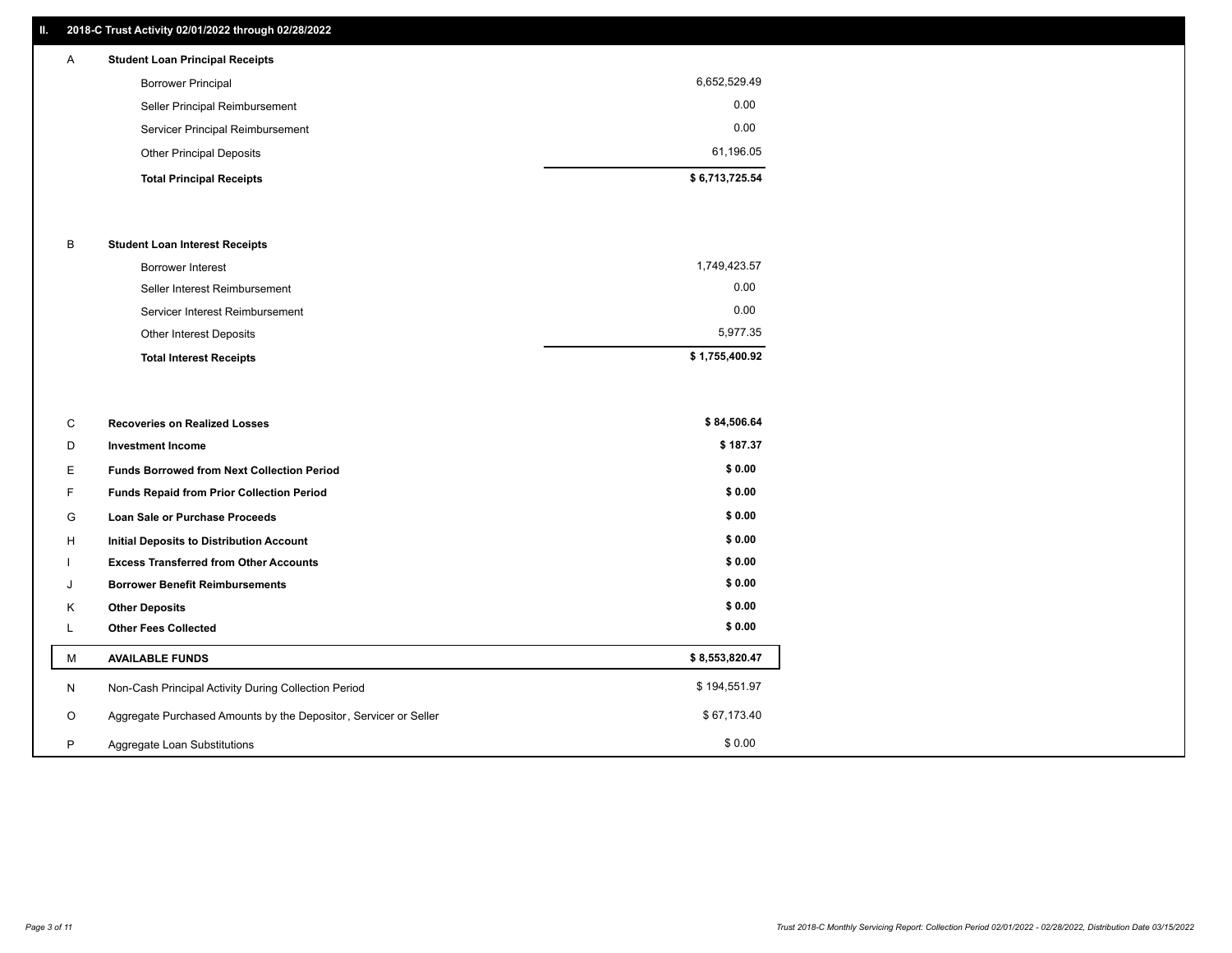#### **II. 2018-C Trust Activity 02/01/2022 through 02/28/2022**

## **Total Principal Receipts \$ 6,713,725.54**  Other Principal Deposits 61,196.05 Servicer Principal Reimbursement 0.00 Seller Principal Reimbursement 0.00 Borrower Principal 6,652,529.49 A **Student Loan Principal Receipts**

#### B **Student Loan Interest Receipts**

| <b>Total Interest Receipts</b>  | \$1,755,400.92 |
|---------------------------------|----------------|
| Other Interest Deposits         | 5.977.35       |
| Servicer Interest Reimbursement | 0.00           |
| Seller Interest Reimbursement   | 0.00           |
| <b>Borrower Interest</b>        | 1,749,423.57   |

| С       | <b>Recoveries on Realized Losses</b>                             | \$84,506.64    |
|---------|------------------------------------------------------------------|----------------|
| D       | <b>Investment Income</b>                                         | \$187.37       |
| E.      | <b>Funds Borrowed from Next Collection Period</b>                | \$0.00         |
| F.      | Funds Repaid from Prior Collection Period                        | \$0.00         |
| G       | Loan Sale or Purchase Proceeds                                   | \$0.00         |
| H       | <b>Initial Deposits to Distribution Account</b>                  | \$0.00         |
|         | <b>Excess Transferred from Other Accounts</b>                    | \$0.00         |
| J       | <b>Borrower Benefit Reimbursements</b>                           | \$0.00         |
| Κ       | <b>Other Deposits</b>                                            | \$0.00         |
| L       | <b>Other Fees Collected</b>                                      | \$0.00         |
| M       | <b>AVAILABLE FUNDS</b>                                           | \$8,553,820.47 |
| N       | Non-Cash Principal Activity During Collection Period             | \$194,551.97   |
| $\circ$ | Aggregate Purchased Amounts by the Depositor, Servicer or Seller | \$67,173.40    |
| P       | Aggregate Loan Substitutions                                     | \$0.00         |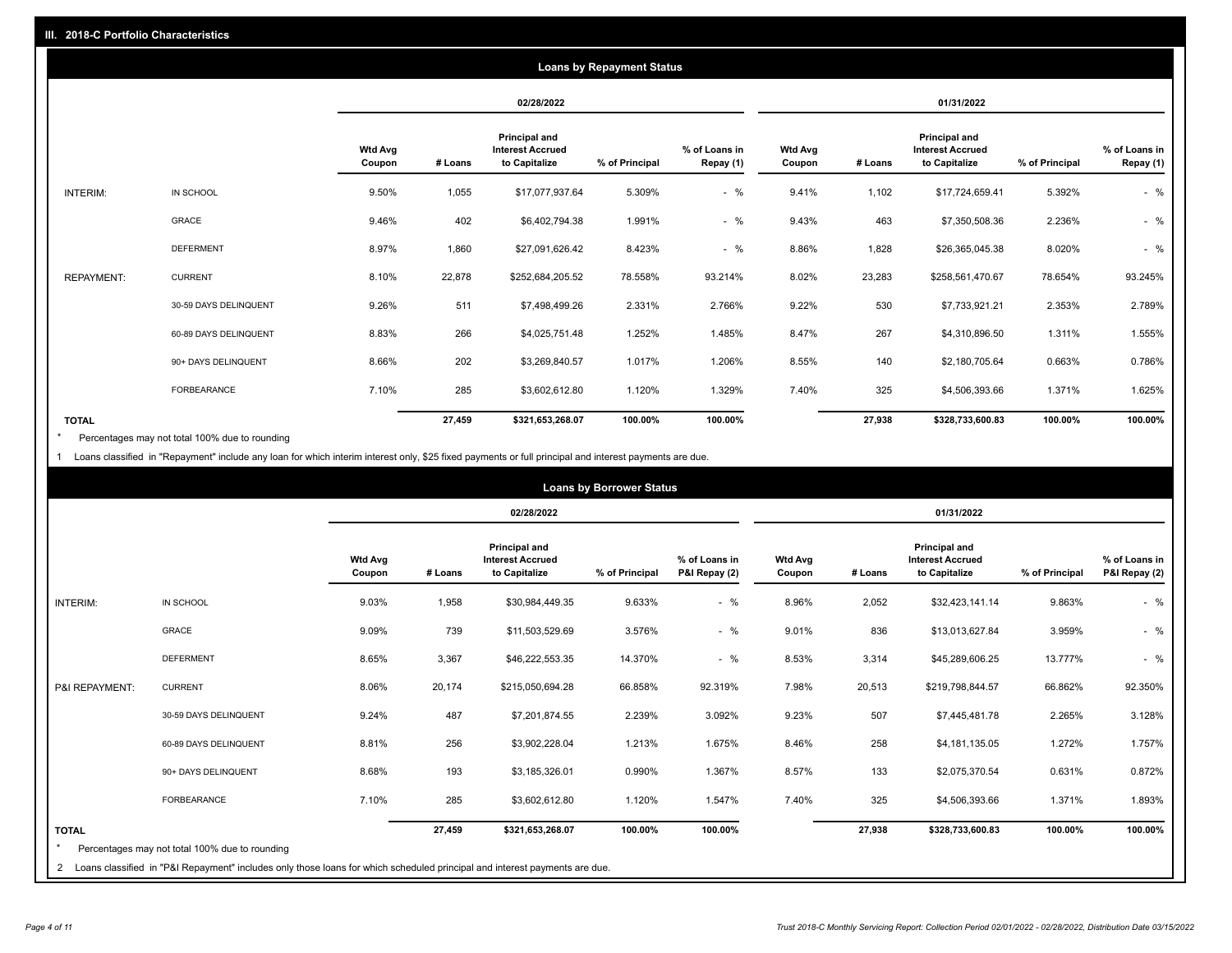|                   |                       |                   | <b>Loans by Repayment Status</b> |                                                           |                |                            |                          |         |                                                           |                |                            |
|-------------------|-----------------------|-------------------|----------------------------------|-----------------------------------------------------------|----------------|----------------------------|--------------------------|---------|-----------------------------------------------------------|----------------|----------------------------|
|                   |                       |                   | 02/28/2022                       |                                                           |                |                            | 01/31/2022               |         |                                                           |                |                            |
|                   |                       | Wtd Avg<br>Coupon | # Loans                          | Principal and<br><b>Interest Accrued</b><br>to Capitalize | % of Principal | % of Loans in<br>Repay (1) | <b>Wtd Avg</b><br>Coupon | # Loans | Principal and<br><b>Interest Accrued</b><br>to Capitalize | % of Principal | % of Loans in<br>Repay (1) |
| INTERIM:          | IN SCHOOL             | 9.50%             | 1,055                            | \$17,077,937.64                                           | 5.309%         | $-$ %                      | 9.41%                    | 1,102   | \$17,724,659.41                                           | 5.392%         | $-$ %                      |
|                   | GRACE                 | 9.46%             | 402                              | \$6,402,794.38                                            | 1.991%         | $-$ %                      | 9.43%                    | 463     | \$7,350,508.36                                            | 2.236%         | $-$ %                      |
|                   | <b>DEFERMENT</b>      | 8.97%             | 1,860                            | \$27,091,626.42                                           | 8.423%         | $-$ %                      | 8.86%                    | 1,828   | \$26,365,045.38                                           | 8.020%         | $-$ %                      |
| <b>REPAYMENT:</b> | <b>CURRENT</b>        | 8.10%             | 22,878                           | \$252,684,205.52                                          | 78.558%        | 93.214%                    | 8.02%                    | 23,283  | \$258,561,470.67                                          | 78.654%        | 93.245%                    |
|                   | 30-59 DAYS DELINQUENT | 9.26%             | 511                              | \$7,498,499.26                                            | 2.331%         | 2.766%                     | 9.22%                    | 530     | \$7,733,921.21                                            | 2.353%         | 2.789%                     |
|                   | 60-89 DAYS DELINQUENT | 8.83%             | 266                              | \$4,025,751.48                                            | 1.252%         | 1.485%                     | 8.47%                    | 267     | \$4,310,896.50                                            | 1.311%         | 1.555%                     |
|                   | 90+ DAYS DELINQUENT   | 8.66%             | 202                              | \$3,269,840.57                                            | 1.017%         | 1.206%                     | 8.55%                    | 140     | \$2,180,705.64                                            | 0.663%         | 0.786%                     |
|                   | FORBEARANCE           | 7.10%             | 285                              | \$3,602,612.80                                            | 1.120%         | 1.329%                     | 7.40%                    | 325     | \$4,506,393.66                                            | 1.371%         | 1.625%                     |
| <b>TOTAL</b>      |                       |                   | 27,459                           | \$321,653,268.07                                          | 100.00%        | 100.00%                    |                          | 27,938  | \$328,733,600.83                                          | 100.00%        | 100.00%                    |

Percentages may not total 100% due to rounding \*

1 Loans classified in "Repayment" include any loan for which interim interest only, \$25 fixed payments or full principal and interest payments are due.

|                |                                                                                                                            |                          | <b>Loans by Borrower Status</b> |                                                                  |                |                                |                          |         |                                                           |                |                                |
|----------------|----------------------------------------------------------------------------------------------------------------------------|--------------------------|---------------------------------|------------------------------------------------------------------|----------------|--------------------------------|--------------------------|---------|-----------------------------------------------------------|----------------|--------------------------------|
|                |                                                                                                                            |                          |                                 | 02/28/2022                                                       |                |                                | 01/31/2022               |         |                                                           |                |                                |
|                |                                                                                                                            | <b>Wtd Avg</b><br>Coupon | # Loans                         | <b>Principal and</b><br><b>Interest Accrued</b><br>to Capitalize | % of Principal | % of Loans in<br>P&I Repay (2) | <b>Wtd Avg</b><br>Coupon | # Loans | Principal and<br><b>Interest Accrued</b><br>to Capitalize | % of Principal | % of Loans in<br>P&I Repay (2) |
| INTERIM:       | IN SCHOOL                                                                                                                  | 9.03%                    | 1,958                           | \$30,984,449.35                                                  | 9.633%         | $-$ %                          | 8.96%                    | 2,052   | \$32,423,141.14                                           | 9.863%         | $-$ %                          |
|                | GRACE                                                                                                                      | 9.09%                    | 739                             | \$11,503,529.69                                                  | 3.576%         | $-$ %                          | 9.01%                    | 836     | \$13,013,627.84                                           | 3.959%         | $-$ %                          |
|                | <b>DEFERMENT</b>                                                                                                           | 8.65%                    | 3,367                           | \$46,222,553.35                                                  | 14.370%        | $-$ %                          | 8.53%                    | 3,314   | \$45,289,606.25                                           | 13.777%        | $-$ %                          |
| P&I REPAYMENT: | <b>CURRENT</b>                                                                                                             | 8.06%                    | 20,174                          | \$215,050,694.28                                                 | 66.858%        | 92.319%                        | 7.98%                    | 20,513  | \$219,798,844.57                                          | 66.862%        | 92.350%                        |
|                | 30-59 DAYS DELINQUENT                                                                                                      | 9.24%                    | 487                             | \$7,201,874.55                                                   | 2.239%         | 3.092%                         | 9.23%                    | 507     | \$7,445,481.78                                            | 2.265%         | 3.128%                         |
|                | 60-89 DAYS DELINQUENT                                                                                                      | 8.81%                    | 256                             | \$3,902,228.04                                                   | 1.213%         | 1.675%                         | 8.46%                    | 258     | \$4,181,135.05                                            | 1.272%         | 1.757%                         |
|                | 90+ DAYS DELINQUENT                                                                                                        | 8.68%                    | 193                             | \$3,185,326.01                                                   | 0.990%         | 1.367%                         | 8.57%                    | 133     | \$2,075,370.54                                            | 0.631%         | 0.872%                         |
|                | FORBEARANCE                                                                                                                | 7.10%                    | 285                             | \$3,602,612.80                                                   | 1.120%         | 1.547%                         | 7.40%                    | 325     | \$4,506,393.66                                            | 1.371%         | 1.893%                         |
| <b>TOTAL</b>   | Percentages may not total 100% due to rounding                                                                             |                          | 27,459                          | \$321,653,268.07                                                 | 100.00%        | 100.00%                        |                          | 27,938  | \$328,733,600.83                                          | 100.00%        | 100.00%                        |
| $\overline{2}$ | Loans classified in "P&I Repayment" includes only those loans for which scheduled principal and interest payments are due. |                          |                                 |                                                                  |                |                                |                          |         |                                                           |                |                                |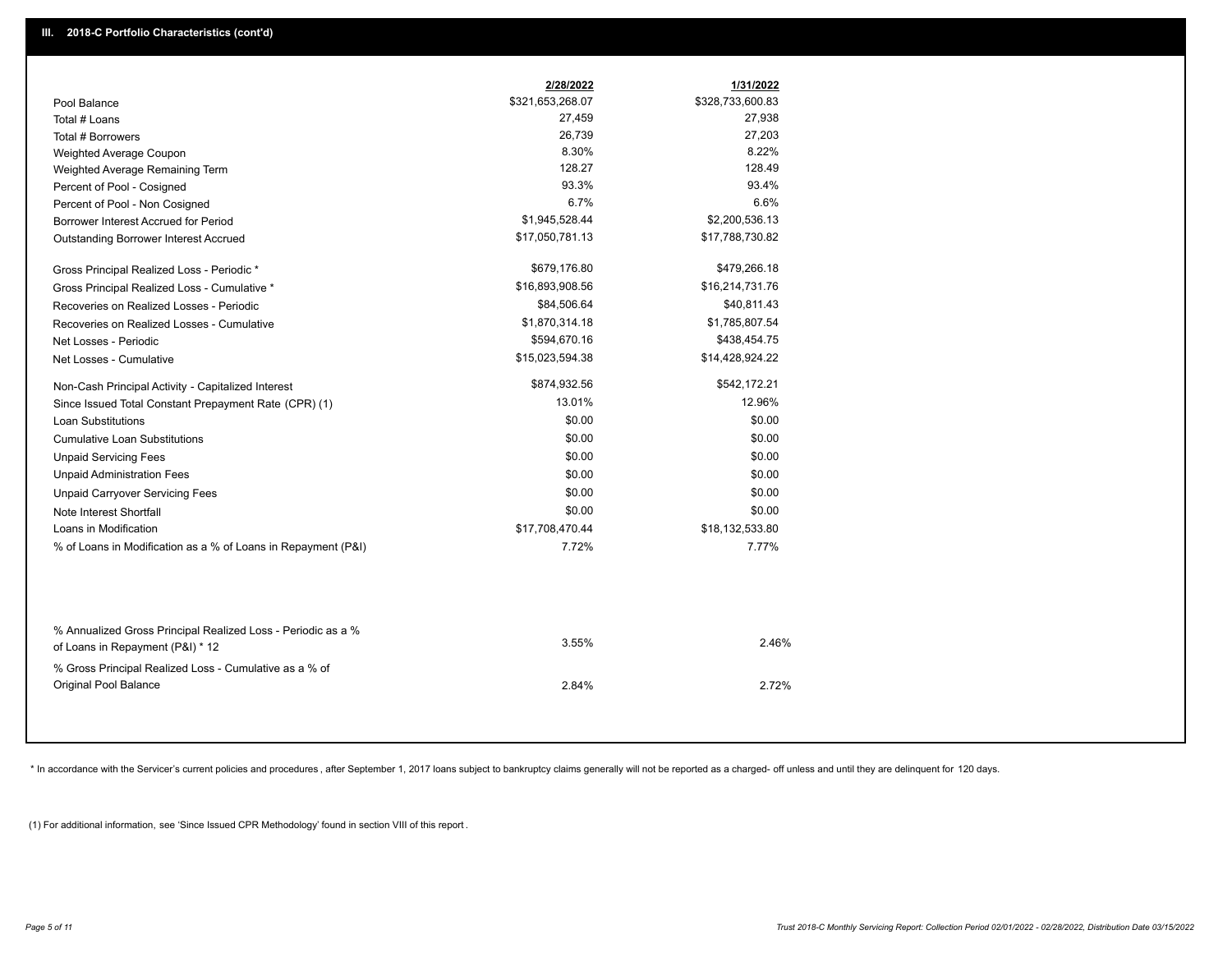|                                                               | 2/28/2022        | 1/31/2022        |
|---------------------------------------------------------------|------------------|------------------|
| Pool Balance                                                  | \$321,653,268.07 | \$328,733,600.83 |
| Total # Loans                                                 | 27,459           | 27,938           |
| Total # Borrowers                                             | 26,739           | 27,203           |
| Weighted Average Coupon                                       | 8.30%            | 8.22%            |
| Weighted Average Remaining Term                               | 128.27           | 128.49           |
| Percent of Pool - Cosigned                                    | 93.3%            | 93.4%            |
| Percent of Pool - Non Cosigned                                | 6.7%             | 6.6%             |
| Borrower Interest Accrued for Period                          | \$1,945,528.44   | \$2,200,536.13   |
| Outstanding Borrower Interest Accrued                         | \$17,050,781.13  | \$17,788,730.82  |
| Gross Principal Realized Loss - Periodic *                    | \$679,176.80     | \$479,266.18     |
| Gross Principal Realized Loss - Cumulative *                  | \$16,893,908.56  | \$16,214,731.76  |
| Recoveries on Realized Losses - Periodic                      | \$84,506.64      | \$40,811.43      |
| Recoveries on Realized Losses - Cumulative                    | \$1,870,314.18   | \$1,785,807.54   |
| Net Losses - Periodic                                         | \$594,670.16     | \$438,454.75     |
| Net Losses - Cumulative                                       | \$15,023,594.38  | \$14,428,924.22  |
| Non-Cash Principal Activity - Capitalized Interest            | \$874,932.56     | \$542,172.21     |
| Since Issued Total Constant Prepayment Rate (CPR) (1)         | 13.01%           | 12.96%           |
| <b>Loan Substitutions</b>                                     | \$0.00           | \$0.00           |
| <b>Cumulative Loan Substitutions</b>                          | \$0.00           | \$0.00           |
| <b>Unpaid Servicing Fees</b>                                  | \$0.00           | \$0.00           |
| <b>Unpaid Administration Fees</b>                             | \$0.00           | \$0.00           |
| <b>Unpaid Carryover Servicing Fees</b>                        | \$0.00           | \$0.00           |
| Note Interest Shortfall                                       | \$0.00           | \$0.00           |
| Loans in Modification                                         | \$17,708,470.44  | \$18,132,533.80  |
| % of Loans in Modification as a % of Loans in Repayment (P&I) | 7.72%            | 7.77%            |
|                                                               |                  |                  |
| % Annualized Gross Principal Realized Loss - Periodic as a %  | 3.55%            | 2.46%            |
| of Loans in Repayment (P&I) * 12                              |                  |                  |
| % Gross Principal Realized Loss - Cumulative as a % of        |                  |                  |
| Original Pool Balance                                         | 2.84%            | 2.72%            |

\* In accordance with the Servicer's current policies and procedures, after September 1, 2017 loans subject to bankruptcy claims generally will not be reported as a charged- off unless and until they are delinquent for 120

(1) For additional information, see 'Since Issued CPR Methodology' found in section VIII of this report .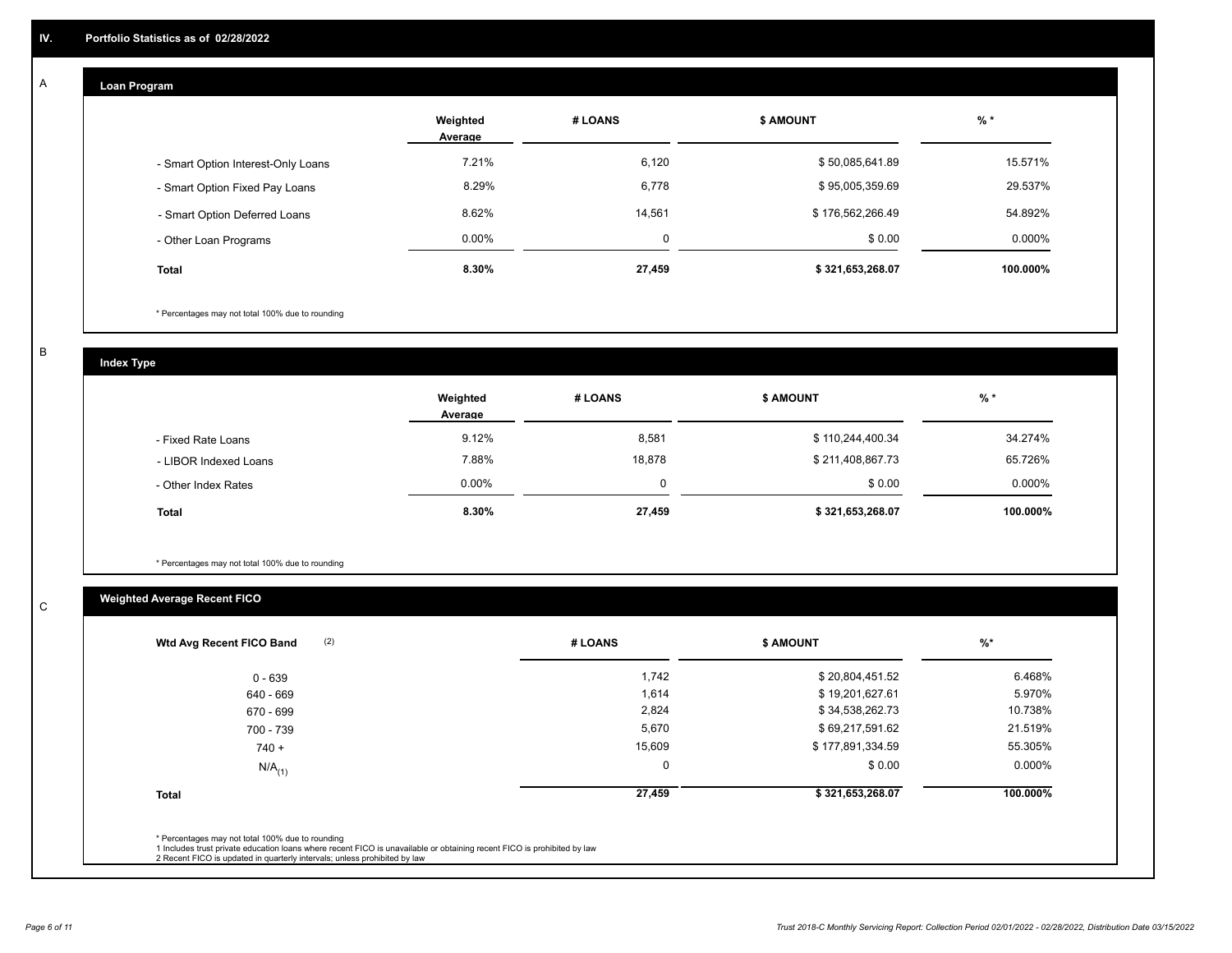#### **Loan Program**

A

|                                    | Weighted<br>Average | # LOANS  | <b>\$ AMOUNT</b> | $%$ *    |
|------------------------------------|---------------------|----------|------------------|----------|
| - Smart Option Interest-Only Loans | 7.21%               | 6,120    | \$50,085,641.89  | 15.571%  |
| - Smart Option Fixed Pay Loans     | 8.29%               | 6,778    | \$95,005,359.69  | 29.537%  |
| - Smart Option Deferred Loans      | 8.62%               | 14,561   | \$176,562,266.49 | 54.892%  |
| - Other Loan Programs              | $0.00\%$            | $\Omega$ | \$0.00           | 0.000%   |
| Total                              | 8.30%               | 27,459   | \$321,653,268.07 | 100.000% |

\* Percentages may not total 100% due to rounding

B

C

**Index Type**

|                       | Weighted<br>Average | # LOANS | <b>\$ AMOUNT</b> | % *       |
|-----------------------|---------------------|---------|------------------|-----------|
| - Fixed Rate Loans    | 9.12%               | 8,581   | \$110,244,400.34 | 34.274%   |
| - LIBOR Indexed Loans | 7.88%               | 18,878  | \$211,408,867.73 | 65.726%   |
| - Other Index Rates   | $0.00\%$            |         | \$0.00           | $0.000\%$ |
| <b>Total</b>          | 8.30%               | 27,459  | \$321,653,268.07 | 100.000%  |

\* Percentages may not total 100% due to rounding

### **Weighted Average Recent FICO**

| # LOANS     | <b>\$ AMOUNT</b> | $%$ *    |
|-------------|------------------|----------|
| 1,742       | \$20,804,451.52  | 6.468%   |
| 1,614       | \$19,201,627.61  | 5.970%   |
| 2,824       | \$34,538,262.73  | 10.738%  |
| 5,670       | \$69,217,591.62  | 21.519%  |
| 15,609      | \$177,891,334.59 | 55.305%  |
| $\mathbf 0$ | \$0.00           | 0.000%   |
| 27,459      | \$321,653,268.07 | 100.000% |
|             |                  |          |
|             |                  |          |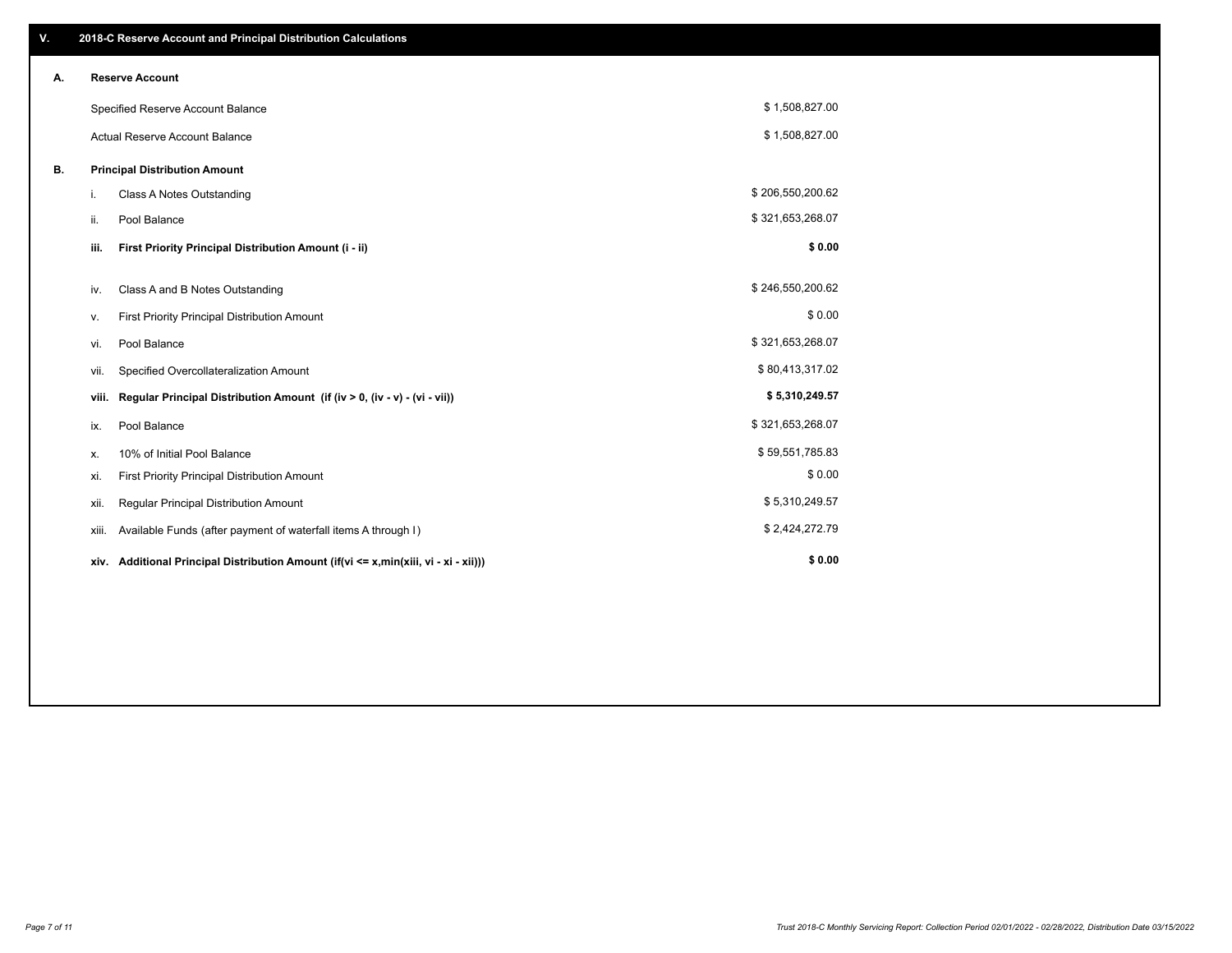| V. |       | 2018-C Reserve Account and Principal Distribution Calculations                       |                  |  |
|----|-------|--------------------------------------------------------------------------------------|------------------|--|
| А. |       | <b>Reserve Account</b>                                                               |                  |  |
|    |       | Specified Reserve Account Balance                                                    | \$1,508,827.00   |  |
|    |       | <b>Actual Reserve Account Balance</b>                                                | \$1,508,827.00   |  |
| В. |       | <b>Principal Distribution Amount</b>                                                 |                  |  |
|    | i.    | <b>Class A Notes Outstanding</b>                                                     | \$206,550,200.62 |  |
|    | ii.   | Pool Balance                                                                         | \$321,653,268.07 |  |
|    | iii.  | First Priority Principal Distribution Amount (i - ii)                                | \$0.00           |  |
|    |       |                                                                                      |                  |  |
|    | iv.   | Class A and B Notes Outstanding                                                      | \$246,550,200.62 |  |
|    | ν.    | First Priority Principal Distribution Amount                                         | \$0.00           |  |
|    | vi.   | Pool Balance                                                                         | \$321,653,268.07 |  |
|    | vii.  | Specified Overcollateralization Amount                                               | \$80,413,317.02  |  |
|    | viii. | Regular Principal Distribution Amount (if (iv > 0, (iv - v) - (vi - vii))            | \$5,310,249.57   |  |
|    | ix.   | Pool Balance                                                                         | \$321,653,268.07 |  |
|    | х.    | 10% of Initial Pool Balance                                                          | \$59,551,785.83  |  |
|    | xi.   | First Priority Principal Distribution Amount                                         | \$0.00           |  |
|    | xii.  | Regular Principal Distribution Amount                                                | \$5,310,249.57   |  |
|    | xiii. | Available Funds (after payment of waterfall items A through I)                       | \$2,424,272.79   |  |
|    |       | xiv. Additional Principal Distribution Amount (if(vi <= x,min(xiii, vi - xi - xii))) | \$0.00           |  |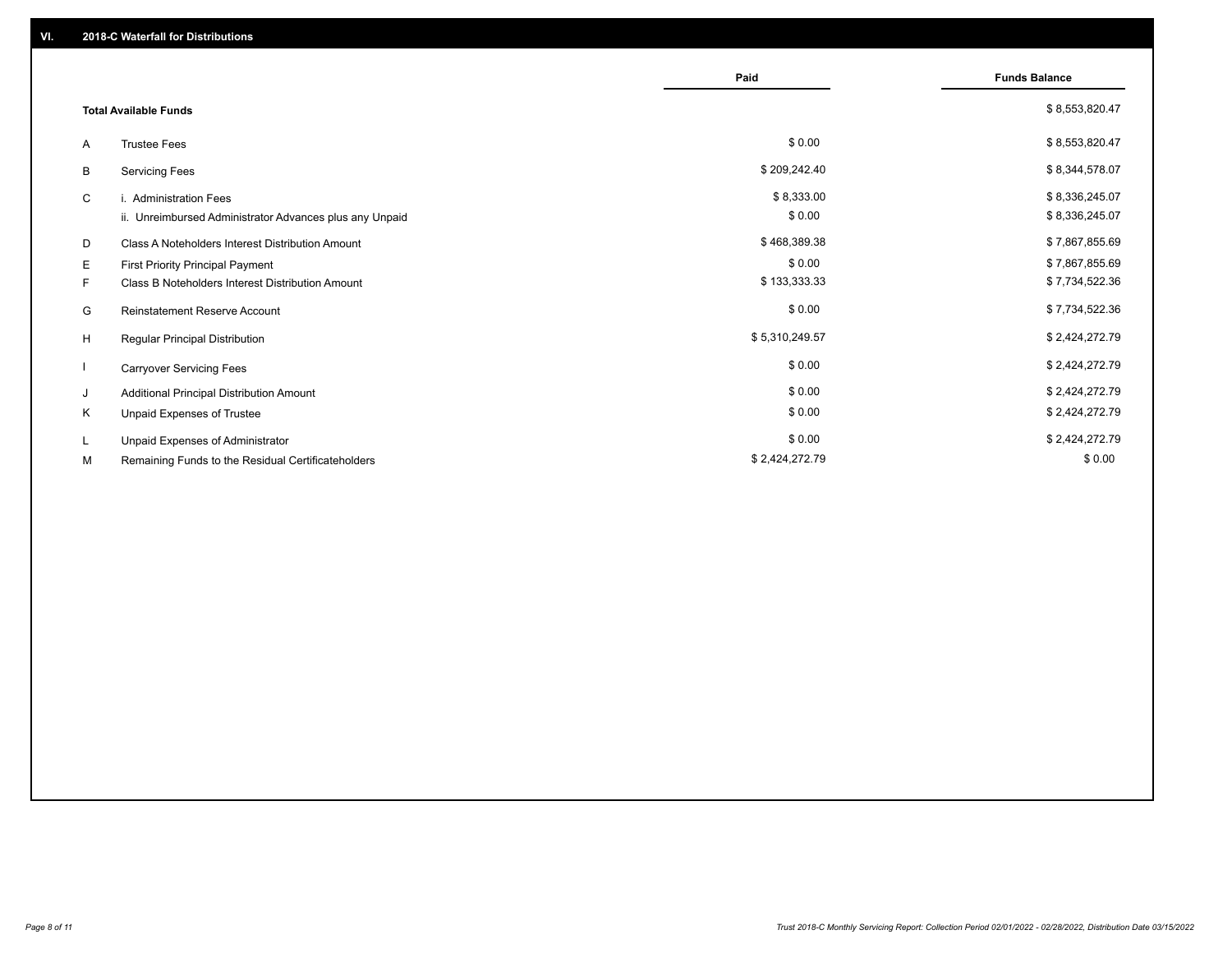|    |                                                         | Paid           | <b>Funds Balance</b> |
|----|---------------------------------------------------------|----------------|----------------------|
|    | <b>Total Available Funds</b>                            |                | \$8,553,820.47       |
| A  | <b>Trustee Fees</b>                                     | \$0.00         | \$8,553,820.47       |
| В  | <b>Servicing Fees</b>                                   | \$209,242.40   | \$8,344,578.07       |
| C  | i. Administration Fees                                  | \$8,333.00     | \$8,336,245.07       |
|    | ii. Unreimbursed Administrator Advances plus any Unpaid | \$0.00         | \$8,336,245.07       |
| D  | Class A Noteholders Interest Distribution Amount        | \$468,389.38   | \$7,867,855.69       |
| Е  | First Priority Principal Payment                        | \$0.00         | \$7,867,855.69       |
| F. | Class B Noteholders Interest Distribution Amount        | \$133,333.33   | \$7,734,522.36       |
| G  | <b>Reinstatement Reserve Account</b>                    | \$0.00         | \$7,734,522.36       |
| H  | Regular Principal Distribution                          | \$5,310,249.57 | \$2,424,272.79       |
|    | <b>Carryover Servicing Fees</b>                         | \$0.00         | \$2,424,272.79       |
| J  | Additional Principal Distribution Amount                | \$0.00         | \$2,424,272.79       |
| Κ  | Unpaid Expenses of Trustee                              | \$0.00         | \$2,424,272.79       |
| L. | Unpaid Expenses of Administrator                        | \$0.00         | \$2,424,272.79       |
| М  | Remaining Funds to the Residual Certificateholders      | \$2,424,272.79 | \$0.00               |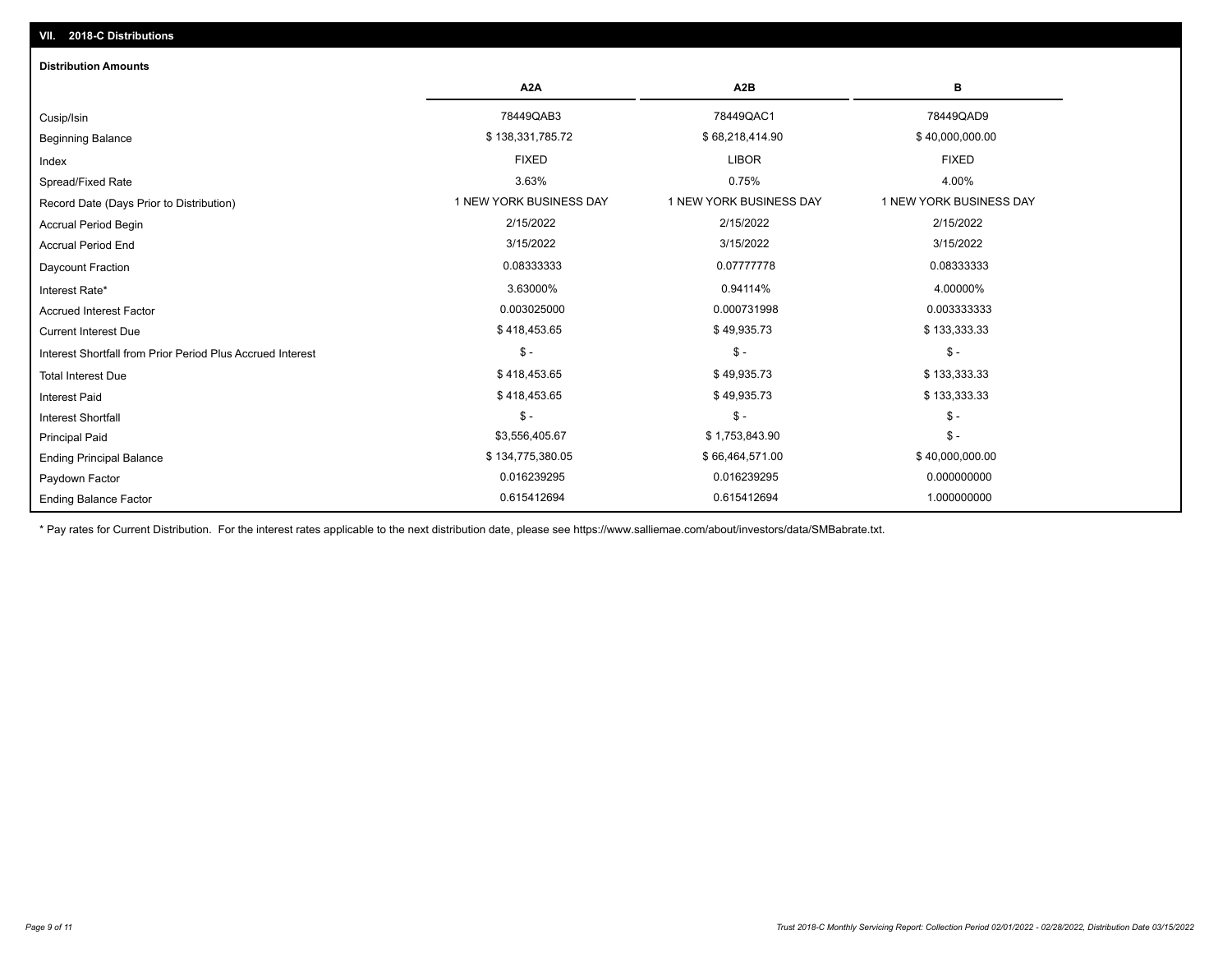| <b>Distribution Amounts</b>                                |                         |                         |                         |
|------------------------------------------------------------|-------------------------|-------------------------|-------------------------|
|                                                            | A <sub>2</sub> A        | A <sub>2</sub> B        | в                       |
| Cusip/Isin                                                 | 78449QAB3               | 78449QAC1               | 78449QAD9               |
| <b>Beginning Balance</b>                                   | \$138,331,785.72        | \$68,218,414.90         | \$40,000,000.00         |
| Index                                                      | <b>FIXED</b>            | <b>LIBOR</b>            | <b>FIXED</b>            |
| Spread/Fixed Rate                                          | 3.63%                   | 0.75%                   | 4.00%                   |
| Record Date (Days Prior to Distribution)                   | 1 NEW YORK BUSINESS DAY | 1 NEW YORK BUSINESS DAY | 1 NEW YORK BUSINESS DAY |
| <b>Accrual Period Begin</b>                                | 2/15/2022               | 2/15/2022               | 2/15/2022               |
| <b>Accrual Period End</b>                                  | 3/15/2022               | 3/15/2022               | 3/15/2022               |
| Daycount Fraction                                          | 0.08333333              | 0.07777778              | 0.08333333              |
| Interest Rate*                                             | 3.63000%                | 0.94114%                | 4.00000%                |
| <b>Accrued Interest Factor</b>                             | 0.003025000             | 0.000731998             | 0.003333333             |
| <b>Current Interest Due</b>                                | \$418,453.65            | \$49,935.73             | \$133,333.33            |
| Interest Shortfall from Prior Period Plus Accrued Interest | $\mathcal{S}$ -         | $\frac{2}{3}$ -         | $\mathbb{S}$ -          |
| <b>Total Interest Due</b>                                  | \$418,453.65            | \$49,935.73             | \$133,333.33            |
| <b>Interest Paid</b>                                       | \$418,453.65            | \$49,935.73             | \$133,333.33            |
| <b>Interest Shortfall</b>                                  | $\mathsf{\$}$ -         | $$ -$                   | $\mathsf{\$}$ -         |
| <b>Principal Paid</b>                                      | \$3,556,405.67          | \$1,753,843.90          | $\mathsf{\$}$ -         |
| <b>Ending Principal Balance</b>                            | \$134,775,380.05        | \$66,464,571.00         | \$40,000,000.00         |
| Paydown Factor                                             | 0.016239295             | 0.016239295             | 0.000000000             |
| <b>Ending Balance Factor</b>                               | 0.615412694             | 0.615412694             | 1.000000000             |

\* Pay rates for Current Distribution. For the interest rates applicable to the next distribution date, please see https://www.salliemae.com/about/investors/data/SMBabrate.txt.

**VII. 2018-C Distributions**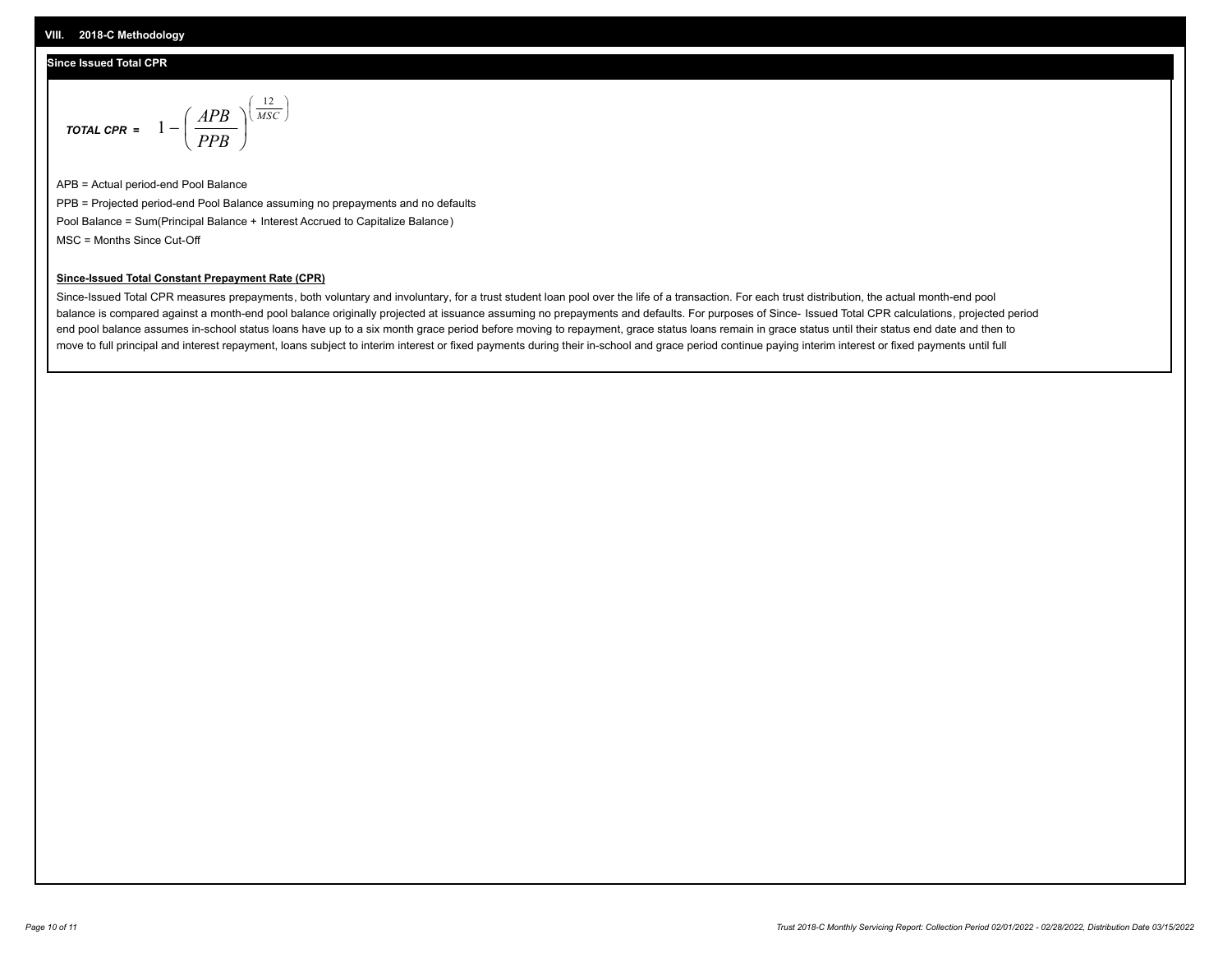#### **Since Issued Total CPR**

$$
\text{total cPR} = 1 - \left(\frac{APB}{PPB}\right)^{\left(\frac{12}{MSC}\right)}
$$

APB = Actual period-end Pool Balance PPB = Projected period-end Pool Balance assuming no prepayments and no defaults Pool Balance = Sum(Principal Balance + Interest Accrued to Capitalize Balance) MSC = Months Since Cut-Off

I J Ι

#### **Since-Issued Total Constant Prepayment Rate (CPR)**

Since-Issued Total CPR measures prepayments, both voluntary and involuntary, for a trust student loan pool over the life of a transaction. For each trust distribution, the actual month-end pool balance is compared against a month-end pool balance originally projected at issuance assuming no prepayments and defaults. For purposes of Since- Issued Total CPR calculations, projected period end pool balance assumes in-school status loans have up to a six month grace period before moving to repayment, grace status loans remain in grace status until their status end date and then to move to full principal and interest repayment, loans subject to interim interest or fixed payments during their in-school and grace period continue paying interim interest or fixed payments until full